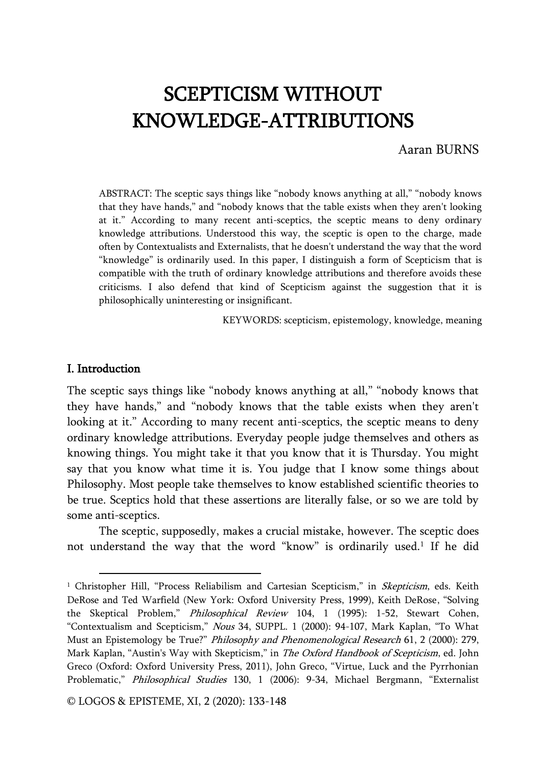# SCEPTICISM WITHOUT KNOWLEDGE-ATTRIBUTIONS

#### Aaran BURNS

ABSTRACT: The sceptic says things like "nobody knows anything at all," "nobody knows that they have hands," and "nobody knows that the table exists when they aren't looking at it." According to many recent anti-sceptics, the sceptic means to deny ordinary knowledge attributions. Understood this way, the sceptic is open to the charge, made often by Contextualists and Externalists, that he doesn't understand the way that the word "knowledge" is ordinarily used. In this paper, I distinguish a form of Scepticism that is compatible with the truth of ordinary knowledge attributions and therefore avoids these criticisms. I also defend that kind of Scepticism against the suggestion that it is philosophically uninteresting or insignificant.

KEYWORDS: scepticism, epistemology, knowledge, meaning

#### I. Introduction

 $\overline{\phantom{a}}$ 

The sceptic says things like "nobody knows anything at all," "nobody knows that they have hands," and "nobody knows that the table exists when they aren't looking at it." According to many recent anti-sceptics, the sceptic means to deny ordinary knowledge attributions. Everyday people judge themselves and others as knowing things. You might take it that you know that it is Thursday. You might say that you know what time it is. You judge that I know some things about Philosophy. Most people take themselves to know established scientific theories to be true. Sceptics hold that these assertions are literally false, or so we are told by some anti-sceptics.

The sceptic, supposedly, makes a crucial mistake, however. The sceptic does not understand the way that the word "know" is ordinarily used.<sup>1</sup> If he did

<sup>&</sup>lt;sup>1</sup> Christopher Hill, "Process Reliabilism and Cartesian Scepticism," in Skepticism, eds. Keith DeRose and Ted Warfield (New York: Oxford University Press, 1999), Keith DeRose, "Solving the Skeptical Problem," Philosophical Review 104, 1 (1995): 1-52, Stewart Cohen, "Contextualism and Scepticism," Nous 34, SUPPL. 1 (2000): 94-107, Mark Kaplan, "To What Must an Epistemology be True?" Philosophy and Phenomenological Research 61, 2 (2000): 279, Mark Kaplan, "Austin's Way with Skepticism," in The Oxford Handbook of Scepticism, ed. John Greco (Oxford: Oxford University Press, 2011), John Greco, "Virtue, Luck and the Pyrrhonian Problematic," Philosophical Studies 130, 1 (2006): 9-34, Michael Bergmann, "Externalist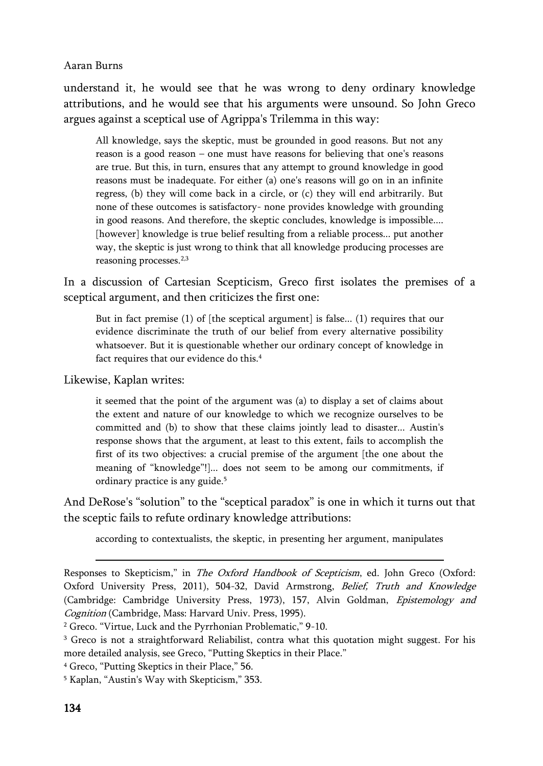understand it, he would see that he was wrong to deny ordinary knowledge attributions, and he would see that his arguments were unsound. So John Greco argues against a sceptical use of Agrippa's Trilemma in this way:

All knowledge, says the skeptic, must be grounded in good reasons. But not any reason is a good reason – one must have reasons for believing that one's reasons are true. But this, in turn, ensures that any attempt to ground knowledge in good reasons must be inadequate. For either (a) one's reasons will go on in an infinite regress, (b) they will come back in a circle, or (c) they will end arbitrarily. But none of these outcomes is satisfactory- none provides knowledge with grounding in good reasons. And therefore, the skeptic concludes, knowledge is impossible.... [however] knowledge is true belief resulting from a reliable process... put another way, the skeptic is just wrong to think that all knowledge producing processes are reasoning processes.<sup>2,3</sup>

In a discussion of Cartesian Scepticism, Greco first isolates the premises of a sceptical argument, and then criticizes the first one:

But in fact premise (1) of [the sceptical argument] is false... (1) requires that our evidence discriminate the truth of our belief from every alternative possibility whatsoever. But it is questionable whether our ordinary concept of knowledge in fact requires that our evidence do this.<sup>4</sup>

Likewise, Kaplan writes:

it seemed that the point of the argument was (a) to display a set of claims about the extent and nature of our knowledge to which we recognize ourselves to be committed and (b) to show that these claims jointly lead to disaster... Austin's response shows that the argument, at least to this extent, fails to accomplish the first of its two objectives: a crucial premise of the argument [the one about the meaning of "knowledge"!]... does not seem to be among our commitments, if ordinary practice is any guide.<sup>5</sup>

And DeRose's "solution" to the "sceptical paradox" is one in which it turns out that the sceptic fails to refute ordinary knowledge attributions:

according to contextualists, the skeptic, in presenting her argument, manipulates

<u>.</u>

Responses to Skepticism," in The Oxford Handbook of Scepticism, ed. John Greco (Oxford: Oxford University Press, 2011), 504-32, David Armstrong, Belief, Truth and Knowledge (Cambridge: Cambridge University Press, 1973), 157, Alvin Goldman, Epistemology and Cognition (Cambridge, Mass: Harvard Univ. Press, 1995).

<sup>2</sup> Greco. "Virtue, Luck and the Pyrrhonian Problematic," 9-10.

<sup>&</sup>lt;sup>3</sup> Greco is not a straightforward Reliabilist, contra what this quotation might suggest. For his more detailed analysis, see Greco, "Putting Skeptics in their Place."

<sup>4</sup> Greco, "Putting Skeptics in their Place," 56.

<sup>5</sup> Kaplan, "Austin's Way with Skepticism," 353.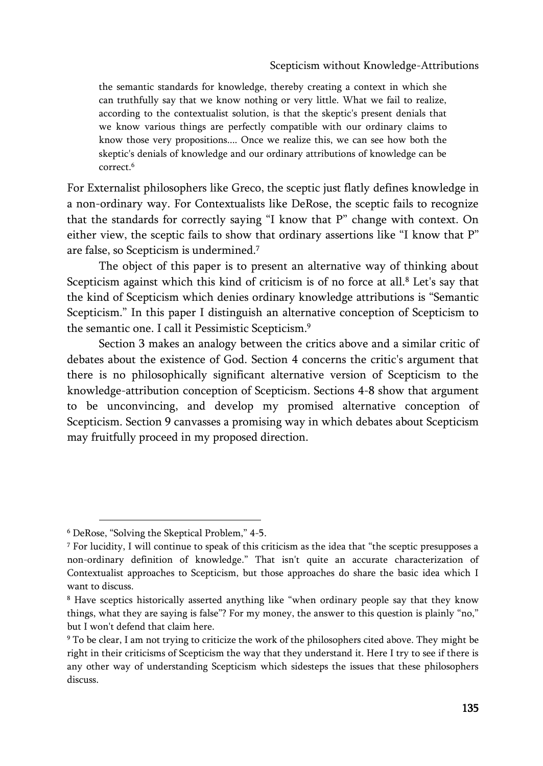### Scepticism without Knowledge-Attributions

the semantic standards for knowledge, thereby creating a context in which she can truthfully say that we know nothing or very little. What we fail to realize, according to the contextualist solution, is that the skeptic's present denials that we know various things are perfectly compatible with our ordinary claims to know those very propositions.... Once we realize this, we can see how both the skeptic's denials of knowledge and our ordinary attributions of knowledge can be correct.<sup>6</sup>

For Externalist philosophers like Greco, the sceptic just flatly defines knowledge in a non-ordinary way. For Contextualists like DeRose, the sceptic fails to recognize that the standards for correctly saying "I know that P" change with context. On either view, the sceptic fails to show that ordinary assertions like "I know that P" are false, so Scepticism is undermined.<sup>7</sup>

The object of this paper is to present an alternative way of thinking about Scepticism against which this kind of criticism is of no force at all.<sup>8</sup> Let's say that the kind of Scepticism which denies ordinary knowledge attributions is "Semantic Scepticism." In this paper I distinguish an alternative conception of Scepticism to the semantic one. I call it Pessimistic Scepticism.<sup>9</sup>

Section 3 makes an analogy between the critics above and a similar critic of debates about the existence of God. Section 4 concerns the critic's argument that there is no philosophically significant alternative version of Scepticism to the knowledge-attribution conception of Scepticism. Sections 4-8 show that argument to be unconvincing, and develop my promised alternative conception of Scepticism. Section 9 canvasses a promising way in which debates about Scepticism may fruitfully proceed in my proposed direction.

<sup>6</sup> DeRose, "Solving the Skeptical Problem," 4-5.

<sup>7</sup> For lucidity, I will continue to speak of this criticism as the idea that "the sceptic presupposes a non-ordinary definition of knowledge." That isn't quite an accurate characterization of Contextualist approaches to Scepticism, but those approaches do share the basic idea which I want to discuss.

<sup>8</sup> Have sceptics historically asserted anything like "when ordinary people say that they know things, what they are saying is false"? For my money, the answer to this question is plainly "no," but I won't defend that claim here.

<sup>9</sup> To be clear, I am not trying to criticize the work of the philosophers cited above. They might be right in their criticisms of Scepticism the way that they understand it. Here I try to see if there is any other way of understanding Scepticism which sidesteps the issues that these philosophers discuss.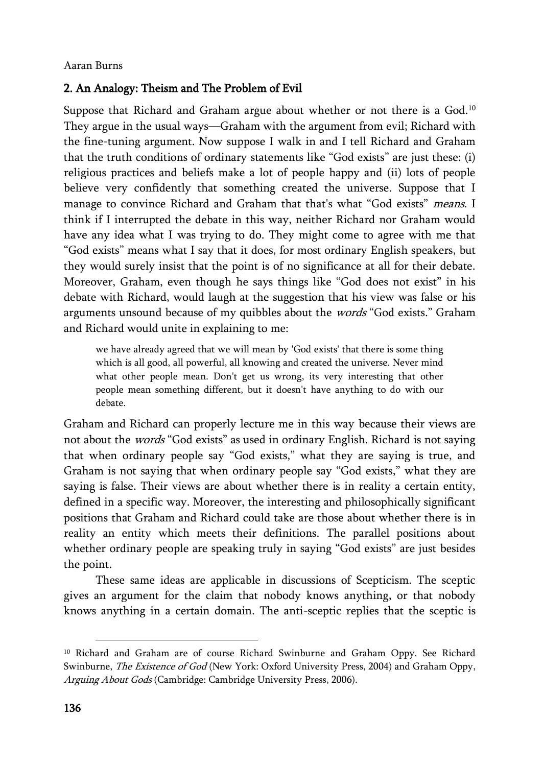# 2. An Analogy: Theism and The Problem of Evil

Suppose that Richard and Graham argue about whether or not there is a God.<sup>10</sup> They argue in the usual ways—Graham with the argument from evil; Richard with the fine-tuning argument. Now suppose I walk in and I tell Richard and Graham that the truth conditions of ordinary statements like "God exists" are just these: (i) religious practices and beliefs make a lot of people happy and (ii) lots of people believe very confidently that something created the universe. Suppose that I manage to convince Richard and Graham that that's what "God exists" means. I think if I interrupted the debate in this way, neither Richard nor Graham would have any idea what I was trying to do. They might come to agree with me that "God exists" means what I say that it does, for most ordinary English speakers, but they would surely insist that the point is of no significance at all for their debate. Moreover, Graham, even though he says things like "God does not exist" in his debate with Richard, would laugh at the suggestion that his view was false or his arguments unsound because of my quibbles about the words "God exists." Graham and Richard would unite in explaining to me:

we have already agreed that we will mean by 'God exists' that there is some thing which is all good, all powerful, all knowing and created the universe. Never mind what other people mean. Don't get us wrong, its very interesting that other people mean something different, but it doesn't have anything to do with our debate.

Graham and Richard can properly lecture me in this way because their views are not about the words "God exists" as used in ordinary English. Richard is not saying that when ordinary people say "God exists," what they are saying is true, and Graham is not saying that when ordinary people say "God exists," what they are saying is false. Their views are about whether there is in reality a certain entity, defined in a specific way. Moreover, the interesting and philosophically significant positions that Graham and Richard could take are those about whether there is in reality an entity which meets their definitions. The parallel positions about whether ordinary people are speaking truly in saying "God exists" are just besides the point.

These same ideas are applicable in discussions of Scepticism. The sceptic gives an argument for the claim that nobody knows anything, or that nobody knows anything in a certain domain. The anti-sceptic replies that the sceptic is

<sup>10</sup> Richard and Graham are of course Richard Swinburne and Graham Oppy. See Richard Swinburne, The Existence of God (New York: Oxford University Press, 2004) and Graham Oppy, Arguing About Gods (Cambridge: Cambridge University Press, 2006).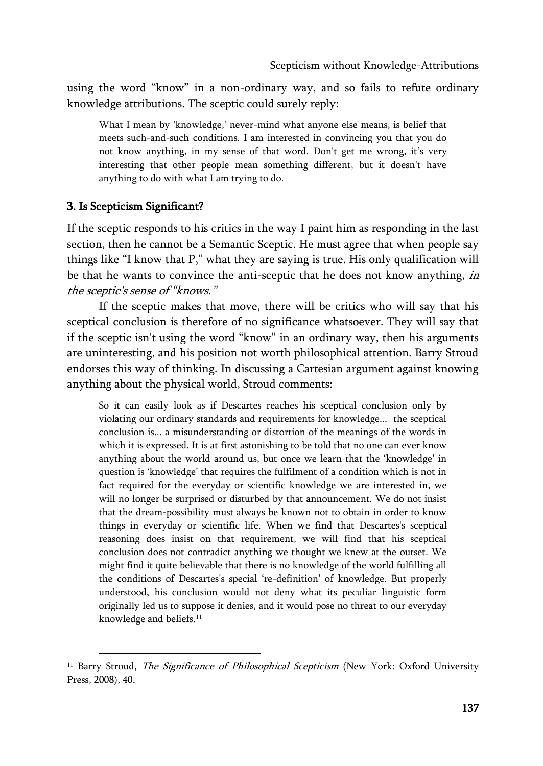using the word "know" in a non-ordinary way, and so fails to refute ordinary knowledge attributions. The sceptic could surely reply:

What I mean by 'knowledge,' never-mind what anyone else means, is belief that meets such-and-such conditions. I am interested in convincing you that you do not know anything, in my sense of that word. Don't get me wrong, it's very interesting that other people mean something different, but it doesn't have anything to do with what I am trying to do.

# 3. Is Scepticism Significant?

 $\overline{\phantom{a}}$ 

If the sceptic responds to his critics in the way I paint him as responding in the last section, then he cannot be a Semantic Sceptic. He must agree that when people say things like "I know that P," what they are saying is true. His only qualification will be that he wants to convince the anti-sceptic that he does not know anything, in the sceptic's sense of "knows."

If the sceptic makes that move, there will be critics who will say that his sceptical conclusion is therefore of no significance whatsoever. They will say that if the sceptic isn't using the word "know" in an ordinary way, then his arguments are uninteresting, and his position not worth philosophical attention. Barry Stroud endorses this way of thinking. In discussing a Cartesian argument against knowing anything about the physical world, Stroud comments:

So it can easily look as if Descartes reaches his sceptical conclusion only by violating our ordinary standards and requirements for knowledge... the sceptical conclusion is... a misunderstanding or distortion of the meanings of the words in which it is expressed. It is at first astonishing to be told that no one can ever know anything about the world around us, but once we learn that the 'knowledge' in question is 'knowledge' that requires the fulfilment of a condition which is not in fact required for the everyday or scientific knowledge we are interested in, we will no longer be surprised or disturbed by that announcement. We do not insist that the dream-possibility must always be known not to obtain in order to know things in everyday or scientific life. When we find that Descartes's sceptical reasoning does insist on that requirement, we will find that his sceptical conclusion does not contradict anything we thought we knew at the outset. We might find it quite believable that there is no knowledge of the world fulfilling all the conditions of Descartes's special 're-definition' of knowledge. But properly understood, his conclusion would not deny what its peculiar linguistic form originally led us to suppose it denies, and it would pose no threat to our everyday knowledge and beliefs.<sup>11</sup>

<sup>&</sup>lt;sup>11</sup> Barry Stroud, *The Significance of Philosophical Scepticism* (New York: Oxford University Press, 2008), 40.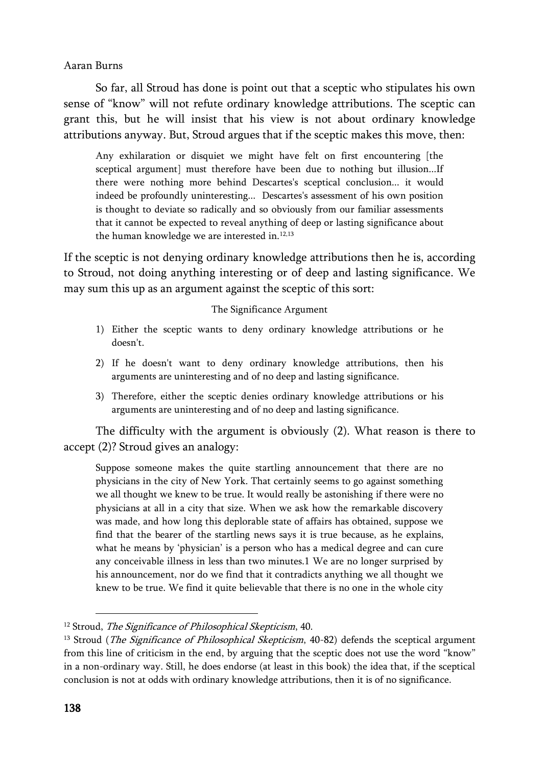So far, all Stroud has done is point out that a sceptic who stipulates his own sense of "know" will not refute ordinary knowledge attributions. The sceptic can grant this, but he will insist that his view is not about ordinary knowledge attributions anyway. But, Stroud argues that if the sceptic makes this move, then:

Any exhilaration or disquiet we might have felt on first encountering [the sceptical argument] must therefore have been due to nothing but illusion...If there were nothing more behind Descartes's sceptical conclusion... it would indeed be profoundly uninteresting... Descartes's assessment of his own position is thought to deviate so radically and so obviously from our familiar assessments that it cannot be expected to reveal anything of deep or lasting significance about the human knowledge we are interested in.<sup>12,13</sup>

If the sceptic is not denying ordinary knowledge attributions then he is, according to Stroud, not doing anything interesting or of deep and lasting significance. We may sum this up as an argument against the sceptic of this sort:

#### The Significance Argument

- 1) Either the sceptic wants to deny ordinary knowledge attributions or he doesn't.
- 2) If he doesn't want to deny ordinary knowledge attributions, then his arguments are uninteresting and of no deep and lasting significance.
- 3) Therefore, either the sceptic denies ordinary knowledge attributions or his arguments are uninteresting and of no deep and lasting significance.

The difficulty with the argument is obviously (2). What reason is there to accept (2)? Stroud gives an analogy:

Suppose someone makes the quite startling announcement that there are no physicians in the city of New York. That certainly seems to go against something we all thought we knew to be true. It would really be astonishing if there were no physicians at all in a city that size. When we ask how the remarkable discovery was made, and how long this deplorable state of affairs has obtained, suppose we find that the bearer of the startling news says it is true because, as he explains, what he means by 'physician' is a person who has a medical degree and can cure any conceivable illness in less than two minutes.1 We are no longer surprised by his announcement, nor do we find that it contradicts anything we all thought we knew to be true. We find it quite believable that there is no one in the whole city

<sup>&</sup>lt;sup>12</sup> Stroud, *The Significance of Philosophical Skepticism*, 40.

<sup>&</sup>lt;sup>13</sup> Stroud (*The Significance of Philosophical Skepticism*, 40-82) defends the sceptical argument from this line of criticism in the end, by arguing that the sceptic does not use the word "know" in a non-ordinary way. Still, he does endorse (at least in this book) the idea that, if the sceptical conclusion is not at odds with ordinary knowledge attributions, then it is of no significance.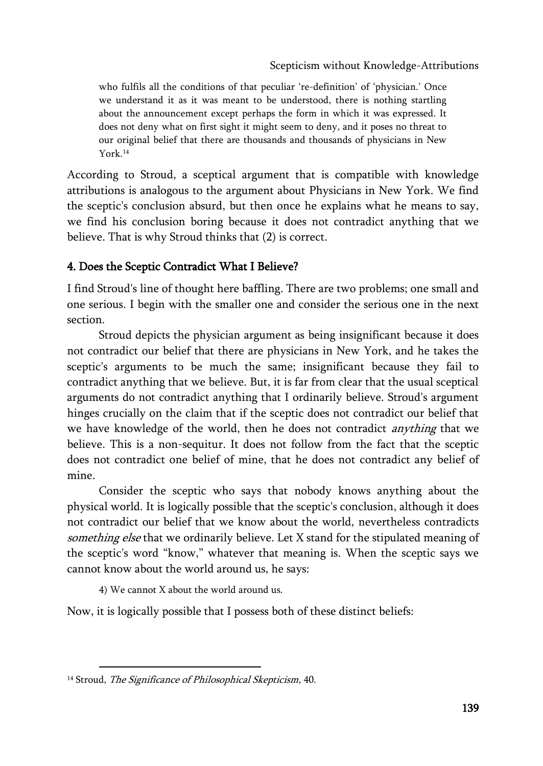Scepticism without Knowledge-Attributions

who fulfils all the conditions of that peculiar 're-definition' of 'physician.' Once we understand it as it was meant to be understood, there is nothing startling about the announcement except perhaps the form in which it was expressed. It does not deny what on first sight it might seem to deny, and it poses no threat to our original belief that there are thousands and thousands of physicians in New York.<sup>14</sup>

According to Stroud, a sceptical argument that is compatible with knowledge attributions is analogous to the argument about Physicians in New York. We find the sceptic's conclusion absurd, but then once he explains what he means to say, we find his conclusion boring because it does not contradict anything that we believe. That is why Stroud thinks that (2) is correct.

# 4. Does the Sceptic Contradict What I Believe?

I find Stroud's line of thought here baffling. There are two problems; one small and one serious. I begin with the smaller one and consider the serious one in the next section.

Stroud depicts the physician argument as being insignificant because it does not contradict our belief that there are physicians in New York, and he takes the sceptic's arguments to be much the same; insignificant because they fail to contradict anything that we believe. But, it is far from clear that the usual sceptical arguments do not contradict anything that I ordinarily believe. Stroud's argument hinges crucially on the claim that if the sceptic does not contradict our belief that we have knowledge of the world, then he does not contradict *anything* that we believe. This is a non-sequitur. It does not follow from the fact that the sceptic does not contradict one belief of mine, that he does not contradict any belief of mine.

Consider the sceptic who says that nobody knows anything about the physical world. It is logically possible that the sceptic's conclusion, although it does not contradict our belief that we know about the world, nevertheless contradicts something else that we ordinarily believe. Let X stand for the stipulated meaning of the sceptic's word "know," whatever that meaning is. When the sceptic says we cannot know about the world around us, he says:

4) We cannot X about the world around us.

Now, it is logically possible that I possess both of these distinct beliefs:

<sup>&</sup>lt;sup>14</sup> Stroud, *The Significance of Philosophical Skepticism*, 40.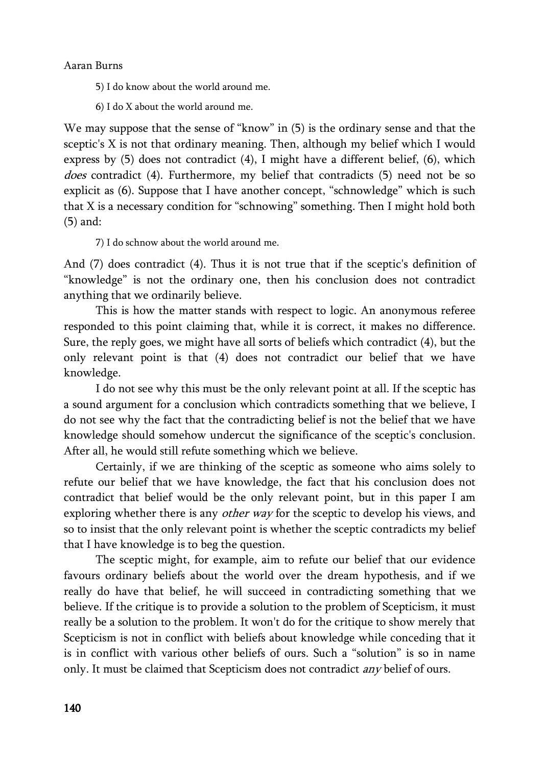5) I do know about the world around me.

6) I do X about the world around me.

We may suppose that the sense of "know" in  $(5)$  is the ordinary sense and that the sceptic's X is not that ordinary meaning. Then, although my belief which I would express by (5) does not contradict (4), I might have a different belief, (6), which does contradict (4). Furthermore, my belief that contradicts (5) need not be so explicit as (6). Suppose that I have another concept, "schnowledge" which is such that X is a necessary condition for "schnowing" something. Then I might hold both (5) and:

7) I do schnow about the world around me.

And (7) does contradict (4). Thus it is not true that if the sceptic's definition of "knowledge" is not the ordinary one, then his conclusion does not contradict anything that we ordinarily believe.

This is how the matter stands with respect to logic. An anonymous referee responded to this point claiming that, while it is correct, it makes no difference. Sure, the reply goes, we might have all sorts of beliefs which contradict (4), but the only relevant point is that (4) does not contradict our belief that we have knowledge.

I do not see why this must be the only relevant point at all. If the sceptic has a sound argument for a conclusion which contradicts something that we believe, I do not see why the fact that the contradicting belief is not the belief that we have knowledge should somehow undercut the significance of the sceptic's conclusion. After all, he would still refute something which we believe.

Certainly, if we are thinking of the sceptic as someone who aims solely to refute our belief that we have knowledge, the fact that his conclusion does not contradict that belief would be the only relevant point, but in this paper I am exploring whether there is any *other way* for the sceptic to develop his views, and so to insist that the only relevant point is whether the sceptic contradicts my belief that I have knowledge is to beg the question.

The sceptic might, for example, aim to refute our belief that our evidence favours ordinary beliefs about the world over the dream hypothesis, and if we really do have that belief, he will succeed in contradicting something that we believe. If the critique is to provide a solution to the problem of Scepticism, it must really be a solution to the problem. It won't do for the critique to show merely that Scepticism is not in conflict with beliefs about knowledge while conceding that it is in conflict with various other beliefs of ours. Such a "solution" is so in name only. It must be claimed that Scepticism does not contradict *any* belief of ours.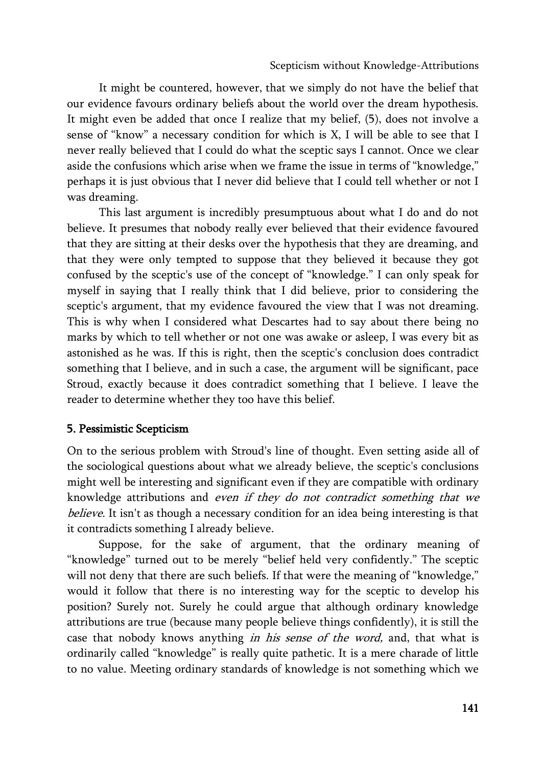It might be countered, however, that we simply do not have the belief that our evidence favours ordinary beliefs about the world over the dream hypothesis. It might even be added that once I realize that my belief, (5), does not involve a sense of "know" a necessary condition for which is X, I will be able to see that I never really believed that I could do what the sceptic says I cannot. Once we clear aside the confusions which arise when we frame the issue in terms of "knowledge," perhaps it is just obvious that I never did believe that I could tell whether or not I was dreaming.

This last argument is incredibly presumptuous about what I do and do not believe. It presumes that nobody really ever believed that their evidence favoured that they are sitting at their desks over the hypothesis that they are dreaming, and that they were only tempted to suppose that they believed it because they got confused by the sceptic's use of the concept of "knowledge." I can only speak for myself in saying that I really think that I did believe, prior to considering the sceptic's argument, that my evidence favoured the view that I was not dreaming. This is why when I considered what Descartes had to say about there being no marks by which to tell whether or not one was awake or asleep, I was every bit as astonished as he was. If this is right, then the sceptic's conclusion does contradict something that I believe, and in such a case, the argument will be significant, pace Stroud, exactly because it does contradict something that I believe. I leave the reader to determine whether they too have this belief.

# 5. Pessimistic Scepticism

On to the serious problem with Stroud's line of thought. Even setting aside all of the sociological questions about what we already believe, the sceptic's conclusions might well be interesting and significant even if they are compatible with ordinary knowledge attributions and even if they do not contradict something that we believe. It isn't as though a necessary condition for an idea being interesting is that it contradicts something I already believe.

Suppose, for the sake of argument, that the ordinary meaning of "knowledge" turned out to be merely "belief held very confidently." The sceptic will not deny that there are such beliefs. If that were the meaning of "knowledge," would it follow that there is no interesting way for the sceptic to develop his position? Surely not. Surely he could argue that although ordinary knowledge attributions are true (because many people believe things confidently), it is still the case that nobody knows anything in his sense of the word, and, that what is ordinarily called "knowledge" is really quite pathetic. It is a mere charade of little to no value. Meeting ordinary standards of knowledge is not something which we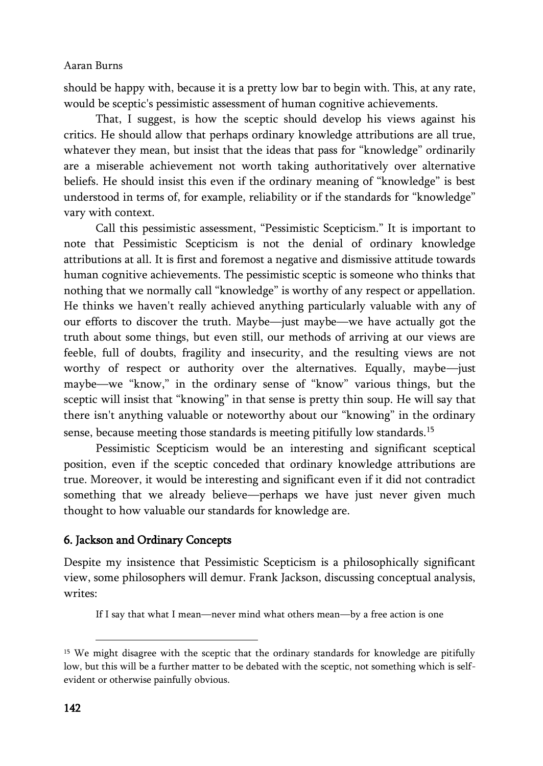should be happy with, because it is a pretty low bar to begin with. This, at any rate, would be sceptic's pessimistic assessment of human cognitive achievements.

That, I suggest, is how the sceptic should develop his views against his critics. He should allow that perhaps ordinary knowledge attributions are all true, whatever they mean, but insist that the ideas that pass for "knowledge" ordinarily are a miserable achievement not worth taking authoritatively over alternative beliefs. He should insist this even if the ordinary meaning of "knowledge" is best understood in terms of, for example, reliability or if the standards for "knowledge" vary with context.

Call this pessimistic assessment, "Pessimistic Scepticism." It is important to note that Pessimistic Scepticism is not the denial of ordinary knowledge attributions at all. It is first and foremost a negative and dismissive attitude towards human cognitive achievements. The pessimistic sceptic is someone who thinks that nothing that we normally call "knowledge" is worthy of any respect or appellation. He thinks we haven't really achieved anything particularly valuable with any of our efforts to discover the truth. Maybe—just maybe—we have actually got the truth about some things, but even still, our methods of arriving at our views are feeble, full of doubts, fragility and insecurity, and the resulting views are not worthy of respect or authority over the alternatives. Equally, maybe—just maybe—we "know," in the ordinary sense of "know" various things, but the sceptic will insist that "knowing" in that sense is pretty thin soup. He will say that there isn't anything valuable or noteworthy about our "knowing" in the ordinary sense, because meeting those standards is meeting pitifully low standards.<sup>15</sup>

Pessimistic Scepticism would be an interesting and significant sceptical position, even if the sceptic conceded that ordinary knowledge attributions are true. Moreover, it would be interesting and significant even if it did not contradict something that we already believe—perhaps we have just never given much thought to how valuable our standards for knowledge are.

# 6. Jackson and Ordinary Concepts

Despite my insistence that Pessimistic Scepticism is a philosophically significant view, some philosophers will demur. Frank Jackson, discussing conceptual analysis, writes:

If I say that what I mean—never mind what others mean—by a free action is one

<sup>&</sup>lt;sup>15</sup> We might disagree with the sceptic that the ordinary standards for knowledge are pitifully low, but this will be a further matter to be debated with the sceptic, not something which is selfevident or otherwise painfully obvious.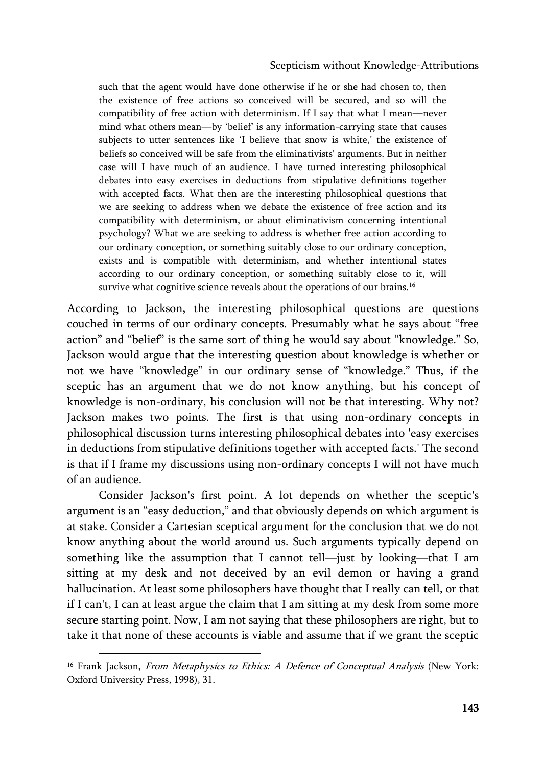#### Scepticism without Knowledge-Attributions

such that the agent would have done otherwise if he or she had chosen to, then the existence of free actions so conceived will be secured, and so will the compatibility of free action with determinism. If I say that what I mean—never mind what others mean—by 'belief' is any information-carrying state that causes subjects to utter sentences like 'I believe that snow is white,' the existence of beliefs so conceived will be safe from the eliminativists' arguments. But in neither case will I have much of an audience. I have turned interesting philosophical debates into easy exercises in deductions from stipulative definitions together with accepted facts. What then are the interesting philosophical questions that we are seeking to address when we debate the existence of free action and its compatibility with determinism, or about eliminativism concerning intentional psychology? What we are seeking to address is whether free action according to our ordinary conception, or something suitably close to our ordinary conception, exists and is compatible with determinism, and whether intentional states according to our ordinary conception, or something suitably close to it, will survive what cognitive science reveals about the operations of our brains.<sup>16</sup>

According to Jackson, the interesting philosophical questions are questions couched in terms of our ordinary concepts. Presumably what he says about "free action" and "belief" is the same sort of thing he would say about "knowledge." So, Jackson would argue that the interesting question about knowledge is whether or not we have "knowledge" in our ordinary sense of "knowledge." Thus, if the sceptic has an argument that we do not know anything, but his concept of knowledge is non-ordinary, his conclusion will not be that interesting. Why not? Jackson makes two points. The first is that using non-ordinary concepts in philosophical discussion turns interesting philosophical debates into 'easy exercises in deductions from stipulative definitions together with accepted facts.' The second is that if I frame my discussions using non-ordinary concepts I will not have much of an audience.

Consider Jackson's first point. A lot depends on whether the sceptic's argument is an "easy deduction," and that obviously depends on which argument is at stake. Consider a Cartesian sceptical argument for the conclusion that we do not know anything about the world around us. Such arguments typically depend on something like the assumption that I cannot tell—just by looking—that I am sitting at my desk and not deceived by an evil demon or having a grand hallucination. At least some philosophers have thought that I really can tell, or that if I can't, I can at least argue the claim that I am sitting at my desk from some more secure starting point. Now, I am not saying that these philosophers are right, but to take it that none of these accounts is viable and assume that if we grant the sceptic

<sup>&</sup>lt;sup>16</sup> Frank Jackson, *From Metaphysics to Ethics: A Defence of Conceptual Analysis* (New York: Oxford University Press, 1998), 31.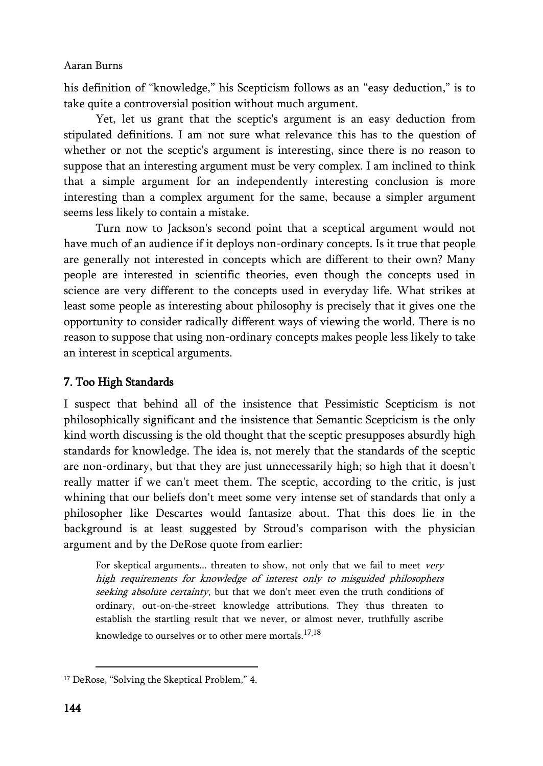his definition of "knowledge," his Scepticism follows as an "easy deduction," is to take quite a controversial position without much argument.

Yet, let us grant that the sceptic's argument is an easy deduction from stipulated definitions. I am not sure what relevance this has to the question of whether or not the sceptic's argument is interesting, since there is no reason to suppose that an interesting argument must be very complex. I am inclined to think that a simple argument for an independently interesting conclusion is more interesting than a complex argument for the same, because a simpler argument seems less likely to contain a mistake.

Turn now to Jackson's second point that a sceptical argument would not have much of an audience if it deploys non-ordinary concepts. Is it true that people are generally not interested in concepts which are different to their own? Many people are interested in scientific theories, even though the concepts used in science are very different to the concepts used in everyday life. What strikes at least some people as interesting about philosophy is precisely that it gives one the opportunity to consider radically different ways of viewing the world. There is no reason to suppose that using non-ordinary concepts makes people less likely to take an interest in sceptical arguments.

# 7. Too High Standards

I suspect that behind all of the insistence that Pessimistic Scepticism is not philosophically significant and the insistence that Semantic Scepticism is the only kind worth discussing is the old thought that the sceptic presupposes absurdly high standards for knowledge. The idea is, not merely that the standards of the sceptic are non-ordinary, but that they are just unnecessarily high; so high that it doesn't really matter if we can't meet them. The sceptic, according to the critic, is just whining that our beliefs don't meet some very intense set of standards that only a philosopher like Descartes would fantasize about. That this does lie in the background is at least suggested by Stroud's comparison with the physician argument and by the DeRose quote from earlier:

For skeptical arguments... threaten to show, not only that we fail to meet very high requirements for knowledge of interest only to misguided philosophers seeking absolute certainty, but that we don't meet even the truth conditions of ordinary, out-on-the-street knowledge attributions. They thus threaten to establish the startling result that we never, or almost never, truthfully ascribe knowledge to ourselves or to other mere mortals.<sup>17,18</sup>

<sup>&</sup>lt;sup>17</sup> DeRose, "Solving the Skeptical Problem," 4.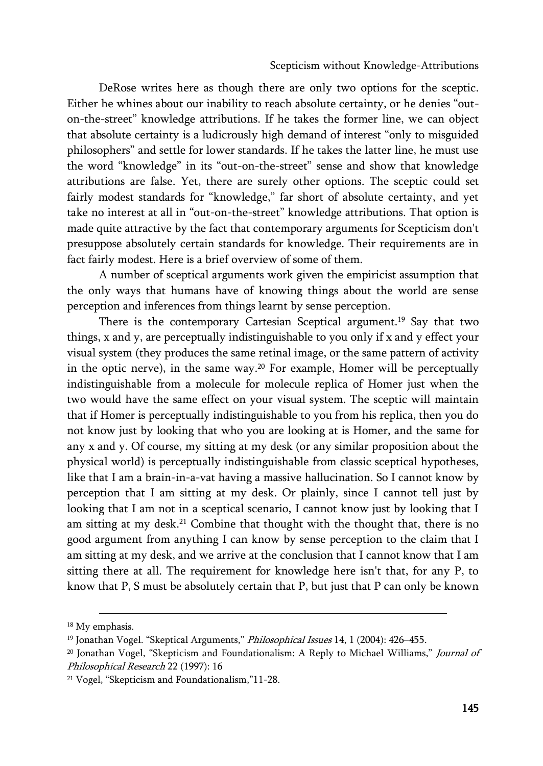DeRose writes here as though there are only two options for the sceptic. Either he whines about our inability to reach absolute certainty, or he denies "outon-the-street" knowledge attributions. If he takes the former line, we can object that absolute certainty is a ludicrously high demand of interest "only to misguided philosophers" and settle for lower standards. If he takes the latter line, he must use the word "knowledge" in its "out-on-the-street" sense and show that knowledge attributions are false. Yet, there are surely other options. The sceptic could set fairly modest standards for "knowledge," far short of absolute certainty, and yet take no interest at all in "out-on-the-street" knowledge attributions. That option is made quite attractive by the fact that contemporary arguments for Scepticism don't presuppose absolutely certain standards for knowledge. Their requirements are in fact fairly modest. Here is a brief overview of some of them.

A number of sceptical arguments work given the empiricist assumption that the only ways that humans have of knowing things about the world are sense perception and inferences from things learnt by sense perception.

There is the contemporary Cartesian Sceptical argument.<sup>19</sup> Say that two things, x and y, are perceptually indistinguishable to you only if x and y effect your visual system (they produces the same retinal image, or the same pattern of activity in the optic nerve), in the same way.<sup>20</sup> For example, Homer will be perceptually indistinguishable from a molecule for molecule replica of Homer just when the two would have the same effect on your visual system. The sceptic will maintain that if Homer is perceptually indistinguishable to you from his replica, then you do not know just by looking that who you are looking at is Homer, and the same for any x and y. Of course, my sitting at my desk (or any similar proposition about the physical world) is perceptually indistinguishable from classic sceptical hypotheses, like that I am a brain-in-a-vat having a massive hallucination. So I cannot know by perception that I am sitting at my desk. Or plainly, since I cannot tell just by looking that I am not in a sceptical scenario, I cannot know just by looking that I am sitting at my desk.<sup>21</sup> Combine that thought with the thought that, there is no good argument from anything I can know by sense perception to the claim that I am sitting at my desk, and we arrive at the conclusion that I cannot know that I am sitting there at all. The requirement for knowledge here isn't that, for any P, to know that P, S must be absolutely certain that P, but just that P can only be known

 $\overline{a}$ <sup>18</sup> My emphasis.

<sup>&</sup>lt;sup>19</sup> Jonathan Vogel. "Skeptical Arguments," Philosophical Issues 14, 1 (2004): 426-455.

<sup>&</sup>lt;sup>20</sup> Jonathan Vogel, "Skepticism and Foundationalism: A Reply to Michael Williams," Journal of Philosophical Research 22 (1997): 16

<sup>21</sup> Vogel, "Skepticism and Foundationalism,"11-28.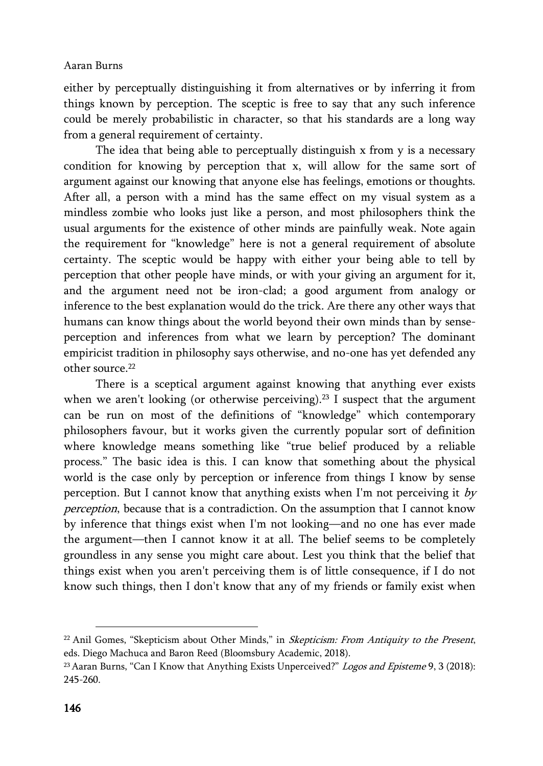either by perceptually distinguishing it from alternatives or by inferring it from things known by perception. The sceptic is free to say that any such inference could be merely probabilistic in character, so that his standards are a long way from a general requirement of certainty.

The idea that being able to perceptually distinguish x from y is a necessary condition for knowing by perception that x, will allow for the same sort of argument against our knowing that anyone else has feelings, emotions or thoughts. After all, a person with a mind has the same effect on my visual system as a mindless zombie who looks just like a person, and most philosophers think the usual arguments for the existence of other minds are painfully weak. Note again the requirement for "knowledge" here is not a general requirement of absolute certainty. The sceptic would be happy with either your being able to tell by perception that other people have minds, or with your giving an argument for it, and the argument need not be iron-clad; a good argument from analogy or inference to the best explanation would do the trick. Are there any other ways that humans can know things about the world beyond their own minds than by senseperception and inferences from what we learn by perception? The dominant empiricist tradition in philosophy says otherwise, and no-one has yet defended any other source.<sup>22</sup>

There is a sceptical argument against knowing that anything ever exists when we aren't looking (or otherwise perceiving).<sup>23</sup> I suspect that the argument can be run on most of the definitions of "knowledge" which contemporary philosophers favour, but it works given the currently popular sort of definition where knowledge means something like "true belief produced by a reliable process." The basic idea is this. I can know that something about the physical world is the case only by perception or inference from things I know by sense perception. But I cannot know that anything exists when I'm not perceiving it  $by$ perception, because that is a contradiction. On the assumption that I cannot know by inference that things exist when I'm not looking—and no one has ever made the argument—then I cannot know it at all. The belief seems to be completely groundless in any sense you might care about. Lest you think that the belief that things exist when you aren't perceiving them is of little consequence, if I do not know such things, then I don't know that any of my friends or family exist when

 $\overline{a}$ 

 $22$  Anil Gomes, "Skepticism about Other Minds," in *Skepticism: From Antiquity to the Present*, eds. Diego Machuca and Baron Reed (Bloomsbury Academic, 2018).

<sup>&</sup>lt;sup>23</sup> Aaran Burns, "Can I Know that Anything Exists Unperceived?" Logos and Episteme 9, 3 (2018): 245-260.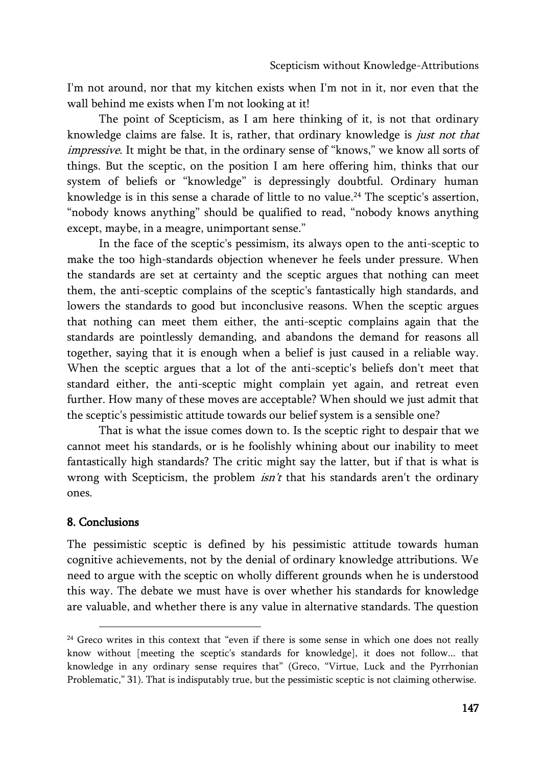I'm not around, nor that my kitchen exists when I'm not in it, nor even that the wall behind me exists when I'm not looking at it!

The point of Scepticism, as I am here thinking of it, is not that ordinary knowledge claims are false. It is, rather, that ordinary knowledge is just not that impressive. It might be that, in the ordinary sense of "knows," we know all sorts of things. But the sceptic, on the position I am here offering him, thinks that our system of beliefs or "knowledge" is depressingly doubtful. Ordinary human knowledge is in this sense a charade of little to no value.<sup>24</sup> The sceptic's assertion, "nobody knows anything" should be qualified to read, "nobody knows anything except, maybe, in a meagre, unimportant sense."

In the face of the sceptic's pessimism, its always open to the anti-sceptic to make the too high-standards objection whenever he feels under pressure. When the standards are set at certainty and the sceptic argues that nothing can meet them, the anti-sceptic complains of the sceptic's fantastically high standards, and lowers the standards to good but inconclusive reasons. When the sceptic argues that nothing can meet them either, the anti-sceptic complains again that the standards are pointlessly demanding, and abandons the demand for reasons all together, saying that it is enough when a belief is just caused in a reliable way. When the sceptic argues that a lot of the anti-sceptic's beliefs don't meet that standard either, the anti-sceptic might complain yet again, and retreat even further. How many of these moves are acceptable? When should we just admit that the sceptic's pessimistic attitude towards our belief system is a sensible one?

That is what the issue comes down to. Is the sceptic right to despair that we cannot meet his standards, or is he foolishly whining about our inability to meet fantastically high standards? The critic might say the latter, but if that is what is wrong with Scepticism, the problem  $isn't$  that his standards aren't the ordinary ones.

# 8. Conclusions

 $\overline{a}$ 

The pessimistic sceptic is defined by his pessimistic attitude towards human cognitive achievements, not by the denial of ordinary knowledge attributions. We need to argue with the sceptic on wholly different grounds when he is understood this way. The debate we must have is over whether his standards for knowledge are valuable, and whether there is any value in alternative standards. The question

<sup>&</sup>lt;sup>24</sup> Greco writes in this context that "even if there is some sense in which one does not really know without [meeting the sceptic's standards for knowledge], it does not follow... that knowledge in any ordinary sense requires that" (Greco, "Virtue, Luck and the Pyrrhonian Problematic," 31). That is indisputably true, but the pessimistic sceptic is not claiming otherwise.